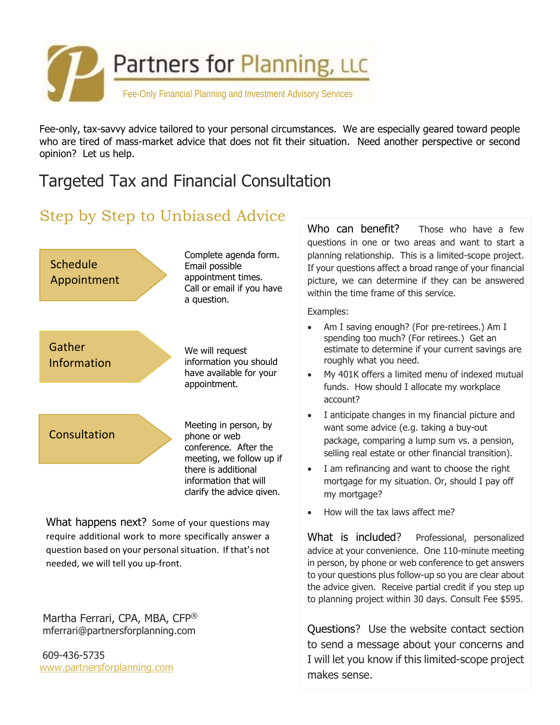

Fee-only, tax-savvy advice tailored to your personal circumstances. We are especially geared toward people who are tired of mass-market advice that does not fit their situation. Need another perspective or second opinion? Let us help.

# Targeted Tax and Financial Consultation

## Step by Step to Unbiased Advice



What happens next? Some of your questions may require additional work to more specifically answer a question based on your personal situation. If that's not needed, we will tell you up‐front.

 Martha Ferrari, CPA, MBA, CFP® mferrari@partnersforplanning.com

 609-436-5735 www.partnersforplanning.com Who can benefit? Those who have a few questions in one or two areas and want to start a planning relationship. This is a limited-scope project. If your questions affect a broad range of your financial picture, we can determine if they can be answered within the time frame of this service.

Examples:

- Am I saving enough? (For pre-retirees.) Am I spending too much? (For retirees.) Get an estimate to determine if your current savings are roughly what you need.
- My 401K offers a limited menu of indexed mutual funds. How should I allocate my workplace account?
- I anticipate changes in my financial picture and want some advice (e.g. taking a buy-out package, comparing a lump sum vs. a pension, selling real estate or other financial transition).
- I am refinancing and want to choose the right mortgage for my situation. Or, should I pay off my mortgage?
- How will the tax laws affect me?

What is included? Professional, personalized advice at your convenience. One 110-minute meeting in person, by phone or web conference to get answers to your questions plus follow-up so you are clear about the advice given. Receive partial credit if you step up to planning project within 30 days. Consult Fee \$595.

Questions? Use the website contact section to send a message about your concerns and I will let you know if this limited-scope project makes sense.